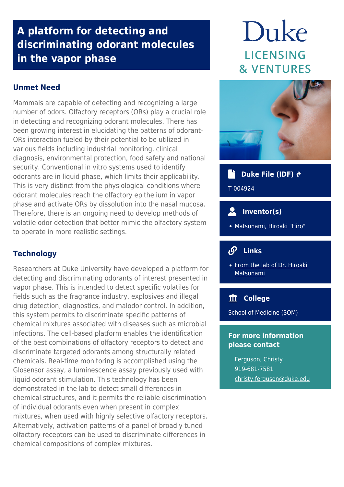### **A platform for detecting and discriminating odorant molecules in the vapor phase**

### **Unmet Need**

Mammals are capable of detecting and recognizing a large number of odors. Olfactory receptors (ORs) play a crucial role in detecting and recognizing odorant molecules. There has been growing interest in elucidating the patterns of odorant-ORs interaction fueled by their potential to be utilized in various fields including industrial monitoring, clinical diagnosis, environmental protection, food safety and national security. Conventional in vitro systems used to identify odorants are in liquid phase, which limits their applicability. This is very distinct from the physiological conditions where odorant molecules reach the olfactory epithelium in vapor phase and activate ORs by dissolution into the nasal mucosa. Therefore, there is an ongoing need to develop methods of volatile odor detection that better mimic the olfactory system to operate in more realistic settings.

### **Technology**

Researchers at Duke University have developed a platform for detecting and discriminating odorants of interest presented in vapor phase. This is intended to detect specific volatiles for fields such as the fragrance industry, explosives and illegal drug detection, diagnostics, and malodor control. In addition, this system permits to discriminate specific patterns of chemical mixtures associated with diseases such as microbial infections. The cell-based platform enables the identification of the best combinations of olfactory receptors to detect and discriminate targeted odorants among structurally related chemicals. Real-time monitoring is accomplished using the Glosensor assay, a luminescence assay previously used with liquid odorant stimulation. This technology has been demonstrated in the lab to detect small differences in chemical structures, and it permits the reliable discrimination of individual odorants even when present in complex mixtures, when used with highly selective olfactory receptors. Alternatively, activation patterns of a panel of broadly tuned olfactory receptors can be used to discriminate differences in chemical compositions of complex mixtures.

# Duke **LICENSING & VENTURES**



## **Duke File (IDF) #**

T-004924

- $\bullet$  **Inventor(s)**
- Matsunami, Hiroaki "Hiro"

#### $\mathcal{S}$  **Links**

• [From the lab of Dr. Hiroaki](https://mgm.duke.edu/faculty-and-research/primary-faculty/hiroaki-matsunami-phd/) **[Matsunami](https://mgm.duke.edu/faculty-and-research/primary-faculty/hiroaki-matsunami-phd/)** 

### **College**

School of Medicine (SOM)

#### **For more information please contact**

Ferguson, Christy 919-681-7581 [christy.ferguson@duke.edu](mailto:christy.ferguson@duke.edu)